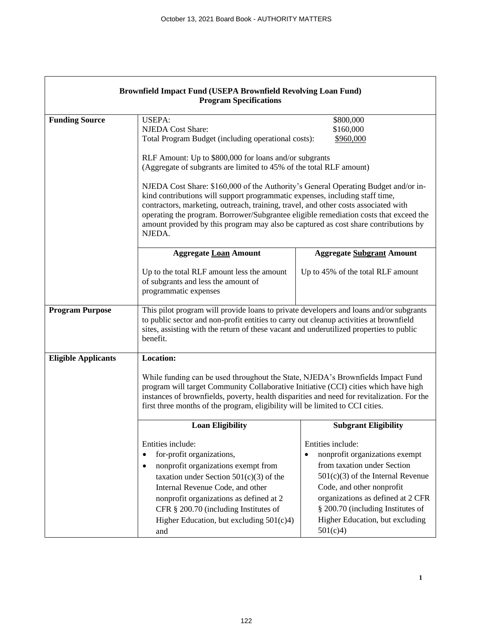$\mathsf{r}$ 

| Brownfield Impact Fund (USEPA Brownfield Revolving Loan Fund)<br><b>Program Specifications</b> |                                                                                                                                                                                                                                                                                                                                                                                                                                                                                                                                                                                                                                                                                                                                 |                                                                                                                                                                                                                                                                                              |
|------------------------------------------------------------------------------------------------|---------------------------------------------------------------------------------------------------------------------------------------------------------------------------------------------------------------------------------------------------------------------------------------------------------------------------------------------------------------------------------------------------------------------------------------------------------------------------------------------------------------------------------------------------------------------------------------------------------------------------------------------------------------------------------------------------------------------------------|----------------------------------------------------------------------------------------------------------------------------------------------------------------------------------------------------------------------------------------------------------------------------------------------|
| <b>Funding Source</b>                                                                          | <b>USEPA:</b><br>\$800,000<br>\$160,000<br><b>NJEDA</b> Cost Share:<br>Total Program Budget (including operational costs):<br>\$960,000<br>RLF Amount: Up to \$800,000 for loans and/or subgrants<br>(Aggregate of subgrants are limited to 45% of the total RLF amount)<br>NJEDA Cost Share: \$160,000 of the Authority's General Operating Budget and/or in-<br>kind contributions will support programmatic expenses, including staff time,<br>contractors, marketing, outreach, training, travel, and other costs associated with<br>operating the program. Borrower/Subgrantee eligible remediation costs that exceed the<br>amount provided by this program may also be captured as cost share contributions by<br>NJEDA. |                                                                                                                                                                                                                                                                                              |
|                                                                                                | <b>Aggregate Loan Amount</b>                                                                                                                                                                                                                                                                                                                                                                                                                                                                                                                                                                                                                                                                                                    | <b>Aggregate Subgrant Amount</b>                                                                                                                                                                                                                                                             |
|                                                                                                | Up to the total RLF amount less the amount<br>of subgrants and less the amount of<br>programmatic expenses                                                                                                                                                                                                                                                                                                                                                                                                                                                                                                                                                                                                                      | Up to 45% of the total RLF amount                                                                                                                                                                                                                                                            |
| <b>Program Purpose</b>                                                                         | This pilot program will provide loans to private developers and loans and/or subgrants<br>to public sector and non-profit entities to carry out cleanup activities at brownfield<br>sites, assisting with the return of these vacant and underutilized properties to public<br>benefit.                                                                                                                                                                                                                                                                                                                                                                                                                                         |                                                                                                                                                                                                                                                                                              |
| <b>Eligible Applicants</b>                                                                     | <b>Location:</b><br>While funding can be used throughout the State, NJEDA's Brownfields Impact Fund<br>program will target Community Collaborative Initiative (CCI) cities which have high<br>instances of brownfields, poverty, health disparities and need for revitalization. For the<br>first three months of the program, eligibility will be limited to CCI cities.                                                                                                                                                                                                                                                                                                                                                       |                                                                                                                                                                                                                                                                                              |
|                                                                                                | <b>Loan Eligibility</b>                                                                                                                                                                                                                                                                                                                                                                                                                                                                                                                                                                                                                                                                                                         | <b>Subgrant Eligibility</b>                                                                                                                                                                                                                                                                  |
|                                                                                                | Entities include:<br>for-profit organizations,<br>$\bullet$<br>nonprofit organizations exempt from<br>$\bullet$<br>taxation under Section $501(c)(3)$ of the<br>Internal Revenue Code, and other<br>nonprofit organizations as defined at 2<br>CFR § 200.70 (including Institutes of<br>Higher Education, but excluding $501(c)4$ )<br>and                                                                                                                                                                                                                                                                                                                                                                                      | Entities include:<br>nonprofit organizations exempt<br>$\bullet$<br>from taxation under Section<br>$501(c)(3)$ of the Internal Revenue<br>Code, and other nonprofit<br>organizations as defined at 2 CFR<br>§ 200.70 (including Institutes of<br>Higher Education, but excluding<br>501(c)4) |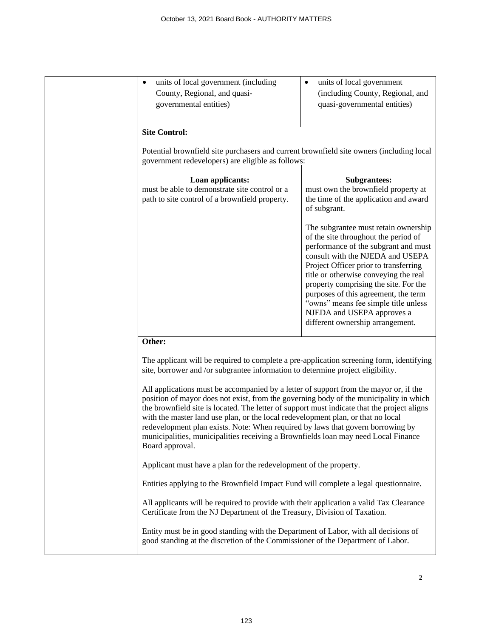| units of local government (including<br>County, Regional, and quasi-<br>governmental entities)                                                                                                                                                                                                                                                                                                                                                                                                                                                                                                                                                                                                                                                                                                                                                                                                                       | units of local government<br>٠<br>(including County, Regional, and<br>quasi-governmental entities)                                                                                                                                                                                                            |
|----------------------------------------------------------------------------------------------------------------------------------------------------------------------------------------------------------------------------------------------------------------------------------------------------------------------------------------------------------------------------------------------------------------------------------------------------------------------------------------------------------------------------------------------------------------------------------------------------------------------------------------------------------------------------------------------------------------------------------------------------------------------------------------------------------------------------------------------------------------------------------------------------------------------|---------------------------------------------------------------------------------------------------------------------------------------------------------------------------------------------------------------------------------------------------------------------------------------------------------------|
| <b>Site Control:</b><br>Potential brownfield site purchasers and current brownfield site owners (including local<br>government redevelopers) are eligible as follows:                                                                                                                                                                                                                                                                                                                                                                                                                                                                                                                                                                                                                                                                                                                                                |                                                                                                                                                                                                                                                                                                               |
| Loan applicants:<br>must be able to demonstrate site control or a<br>path to site control of a brownfield property.                                                                                                                                                                                                                                                                                                                                                                                                                                                                                                                                                                                                                                                                                                                                                                                                  | <b>Subgrantees:</b><br>must own the brownfield property at<br>the time of the application and award<br>of subgrant.<br>The subgrantee must retain ownership<br>of the site throughout the period of<br>performance of the subgrant and must                                                                   |
|                                                                                                                                                                                                                                                                                                                                                                                                                                                                                                                                                                                                                                                                                                                                                                                                                                                                                                                      | consult with the NJEDA and USEPA<br>Project Officer prior to transferring<br>title or otherwise conveying the real<br>property comprising the site. For the<br>purposes of this agreement, the term<br>"owns" means fee simple title unless<br>NJEDA and USEPA approves a<br>different ownership arrangement. |
| Other:<br>The applicant will be required to complete a pre-application screening form, identifying<br>site, borrower and /or subgrantee information to determine project eligibility.<br>All applications must be accompanied by a letter of support from the mayor or, if the<br>position of mayor does not exist, from the governing body of the municipality in which<br>the brownfield site is located. The letter of support must indicate that the project aligns<br>with the master land use plan, or the local redevelopment plan, or that no local<br>redevelopment plan exists. Note: When required by laws that govern borrowing by<br>municipalities, municipalities receiving a Brownfields loan may need Local Finance<br>Board approval.<br>Applicant must have a plan for the redevelopment of the property.<br>Entities applying to the Brownfield Impact Fund will complete a legal questionnaire. |                                                                                                                                                                                                                                                                                                               |
| All applicants will be required to provide with their application a valid Tax Clearance<br>Certificate from the NJ Department of the Treasury, Division of Taxation.<br>Entity must be in good standing with the Department of Labor, with all decisions of<br>good standing at the discretion of the Commissioner of the Department of Labor.                                                                                                                                                                                                                                                                                                                                                                                                                                                                                                                                                                       |                                                                                                                                                                                                                                                                                                               |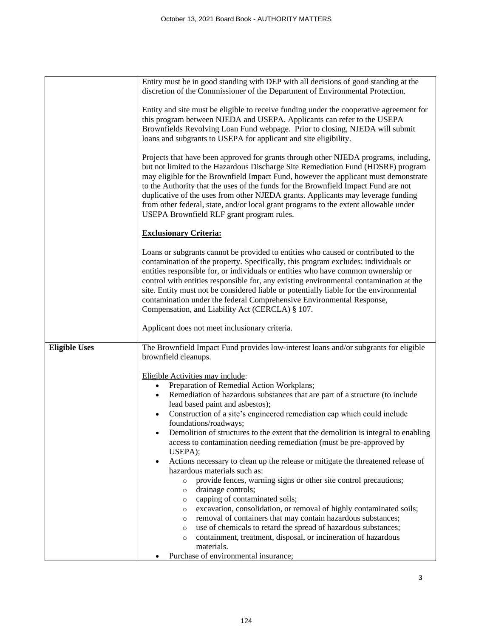|                      | Entity must be in good standing with DEP with all decisions of good standing at the<br>discretion of the Commissioner of the Department of Environmental Protection.                                                                                                                                                                                                                                                                                                                                                                                                                                                                                                                                                                                                                                                                                                                                                                                                                                                                                                                                                                     |  |  |
|----------------------|------------------------------------------------------------------------------------------------------------------------------------------------------------------------------------------------------------------------------------------------------------------------------------------------------------------------------------------------------------------------------------------------------------------------------------------------------------------------------------------------------------------------------------------------------------------------------------------------------------------------------------------------------------------------------------------------------------------------------------------------------------------------------------------------------------------------------------------------------------------------------------------------------------------------------------------------------------------------------------------------------------------------------------------------------------------------------------------------------------------------------------------|--|--|
|                      | Entity and site must be eligible to receive funding under the cooperative agreement for<br>this program between NJEDA and USEPA. Applicants can refer to the USEPA<br>Brownfields Revolving Loan Fund webpage. Prior to closing, NJEDA will submit<br>loans and subgrants to USEPA for applicant and site eligibility.                                                                                                                                                                                                                                                                                                                                                                                                                                                                                                                                                                                                                                                                                                                                                                                                                   |  |  |
|                      | Projects that have been approved for grants through other NJEDA programs, including,<br>but not limited to the Hazardous Discharge Site Remediation Fund (HDSRF) program<br>may eligible for the Brownfield Impact Fund, however the applicant must demonstrate<br>to the Authority that the uses of the funds for the Brownfield Impact Fund are not<br>duplicative of the uses from other NJEDA grants. Applicants may leverage funding<br>from other federal, state, and/or local grant programs to the extent allowable under<br>USEPA Brownfield RLF grant program rules.                                                                                                                                                                                                                                                                                                                                                                                                                                                                                                                                                           |  |  |
|                      | <b>Exclusionary Criteria:</b>                                                                                                                                                                                                                                                                                                                                                                                                                                                                                                                                                                                                                                                                                                                                                                                                                                                                                                                                                                                                                                                                                                            |  |  |
|                      | Loans or subgrants cannot be provided to entities who caused or contributed to the<br>contamination of the property. Specifically, this program excludes: individuals or<br>entities responsible for, or individuals or entities who have common ownership or<br>control with entities responsible for, any existing environmental contamination at the<br>site. Entity must not be considered liable or potentially liable for the environmental<br>contamination under the federal Comprehensive Environmental Response,<br>Compensation, and Liability Act (CERCLA) § 107.                                                                                                                                                                                                                                                                                                                                                                                                                                                                                                                                                            |  |  |
|                      | Applicant does not meet inclusionary criteria.                                                                                                                                                                                                                                                                                                                                                                                                                                                                                                                                                                                                                                                                                                                                                                                                                                                                                                                                                                                                                                                                                           |  |  |
| <b>Eligible Uses</b> | The Brownfield Impact Fund provides low-interest loans and/or subgrants for eligible<br>brownfield cleanups.                                                                                                                                                                                                                                                                                                                                                                                                                                                                                                                                                                                                                                                                                                                                                                                                                                                                                                                                                                                                                             |  |  |
|                      | Eligible Activities may include:<br>Preparation of Remedial Action Workplans;<br>$\bullet$<br>Remediation of hazardous substances that are part of a structure (to include<br>$\bullet$<br>lead based paint and asbestos);<br>Construction of a site's engineered remediation cap which could include<br>$\bullet$<br>foundations/roadways;<br>Demolition of structures to the extent that the demolition is integral to enabling<br>access to contamination needing remediation (must be pre-approved by<br>USEPA);<br>Actions necessary to clean up the release or mitigate the threatened release of<br>$\bullet$<br>hazardous materials such as:<br>provide fences, warning signs or other site control precautions;<br>$\circ$<br>drainage controls;<br>$\circ$<br>capping of contaminated soils;<br>$\circ$<br>excavation, consolidation, or removal of highly contaminated soils;<br>$\circ$<br>removal of containers that may contain hazardous substances;<br>$\circ$<br>use of chemicals to retard the spread of hazardous substances;<br>$\circ$<br>containment, treatment, disposal, or incineration of hazardous<br>$\circ$ |  |  |
|                      | materials.<br>Purchase of environmental insurance;                                                                                                                                                                                                                                                                                                                                                                                                                                                                                                                                                                                                                                                                                                                                                                                                                                                                                                                                                                                                                                                                                       |  |  |

**3**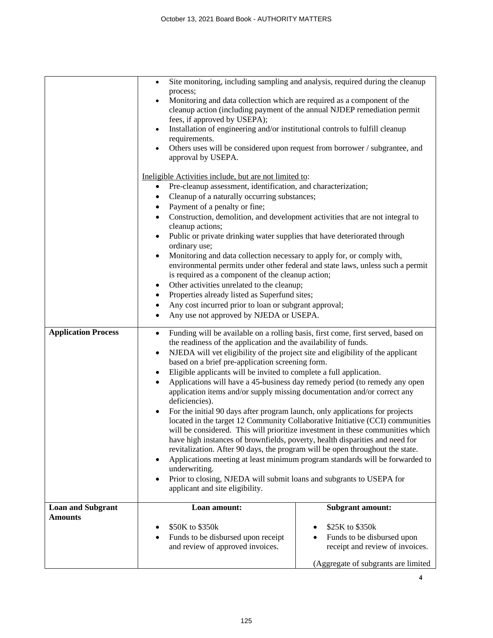|                                            | $\bullet$<br>process;<br>Monitoring and data collection which are required as a component of the<br>$\bullet$<br>cleanup action (including payment of the annual NJDEP remediation permit<br>fees, if approved by USEPA);<br>Installation of engineering and/or institutional controls to fulfill cleanup<br>$\bullet$<br>requirements.<br>Others uses will be considered upon request from borrower / subgrantee, and<br>$\bullet$<br>approval by USEPA.                                                                                                                                                                                                                                                                                                                                                                                      | Site monitoring, including sampling and analysis, required during the cleanup                                                                                                                                                                                                                                                                                                                                                                                                                                                                                                                                                                                                                                                                                                                                                                                                                                                                                                                                                                                                                           |  |
|--------------------------------------------|------------------------------------------------------------------------------------------------------------------------------------------------------------------------------------------------------------------------------------------------------------------------------------------------------------------------------------------------------------------------------------------------------------------------------------------------------------------------------------------------------------------------------------------------------------------------------------------------------------------------------------------------------------------------------------------------------------------------------------------------------------------------------------------------------------------------------------------------|---------------------------------------------------------------------------------------------------------------------------------------------------------------------------------------------------------------------------------------------------------------------------------------------------------------------------------------------------------------------------------------------------------------------------------------------------------------------------------------------------------------------------------------------------------------------------------------------------------------------------------------------------------------------------------------------------------------------------------------------------------------------------------------------------------------------------------------------------------------------------------------------------------------------------------------------------------------------------------------------------------------------------------------------------------------------------------------------------------|--|
|                                            | Ineligible Activities include, but are not limited to:<br>Pre-cleanup assessment, identification, and characterization;<br>٠<br>Cleanup of a naturally occurring substances;<br>٠<br>Payment of a penalty or fine;<br>٠<br>Construction, demolition, and development activities that are not integral to<br>$\bullet$<br>cleanup actions;<br>Public or private drinking water supplies that have deteriorated through<br>$\bullet$<br>ordinary use;<br>Monitoring and data collection necessary to apply for, or comply with,<br>$\bullet$<br>is required as a component of the cleanup action;<br>Other activities unrelated to the cleanup;<br>$\bullet$<br>Properties already listed as Superfund sites;<br>٠<br>Any cost incurred prior to loan or subgrant approval;<br>$\bullet$<br>Any use not approved by NJEDA or USEPA.<br>$\bullet$ | environmental permits under other federal and state laws, unless such a permit                                                                                                                                                                                                                                                                                                                                                                                                                                                                                                                                                                                                                                                                                                                                                                                                                                                                                                                                                                                                                          |  |
| <b>Application Process</b>                 | $\bullet$<br>$\bullet$<br>$\bullet$<br>$\bullet$<br>deficiencies).<br>$\bullet$<br>$\bullet$<br>underwriting.<br>$\bullet$<br>applicant and site eligibility.                                                                                                                                                                                                                                                                                                                                                                                                                                                                                                                                                                                                                                                                                  | Funding will be available on a rolling basis, first come, first served, based on<br>the readiness of the application and the availability of funds.<br>NJEDA will vet eligibility of the project site and eligibility of the applicant<br>based on a brief pre-application screening form.<br>Eligible applicants will be invited to complete a full application.<br>Applications will have a 45-business day remedy period (to remedy any open<br>application items and/or supply missing documentation and/or correct any<br>For the initial 90 days after program launch, only applications for projects<br>located in the target 12 Community Collaborative Initiative (CCI) communities<br>will be considered. This will prioritize investment in these communities which<br>have high instances of brownfields, poverty, health disparities and need for<br>revitalization. After 90 days, the program will be open throughout the state.<br>Applications meeting at least minimum program standards will be forwarded to<br>Prior to closing, NJEDA will submit loans and subgrants to USEPA for |  |
| <b>Loan and Subgrant</b><br><b>Amounts</b> | Loan amount:<br>\$50K to \$350k<br>Funds to be disbursed upon receipt<br>$\bullet$<br>and review of approved invoices.                                                                                                                                                                                                                                                                                                                                                                                                                                                                                                                                                                                                                                                                                                                         | <b>Subgrant amount:</b><br>\$25K to \$350k<br>Funds to be disbursed upon<br>receipt and review of invoices.<br>(Aggregate of subgrants are limited                                                                                                                                                                                                                                                                                                                                                                                                                                                                                                                                                                                                                                                                                                                                                                                                                                                                                                                                                      |  |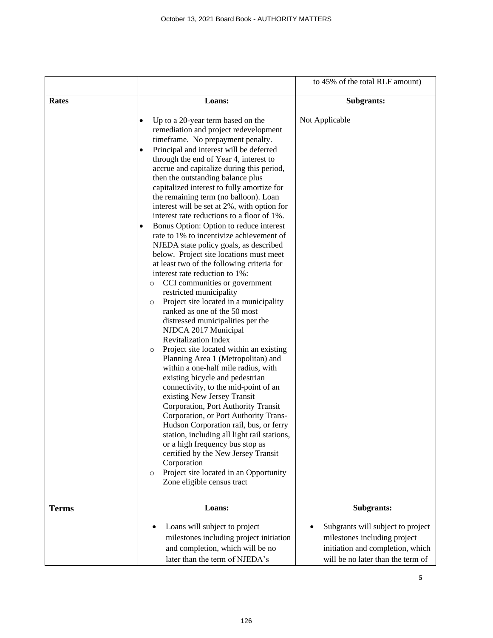|              |                                                                                                                                                                                                                                                                                                                                                                                                                                                                                                                                                                                                                                                                                                                                                                                                                                                                                                                                                                                                                                                                                                                                                                                                                                                                                                                                                                                                                                                                                                                                                                                                             | to 45% of the total RLF amount)                                                                                                            |
|--------------|-------------------------------------------------------------------------------------------------------------------------------------------------------------------------------------------------------------------------------------------------------------------------------------------------------------------------------------------------------------------------------------------------------------------------------------------------------------------------------------------------------------------------------------------------------------------------------------------------------------------------------------------------------------------------------------------------------------------------------------------------------------------------------------------------------------------------------------------------------------------------------------------------------------------------------------------------------------------------------------------------------------------------------------------------------------------------------------------------------------------------------------------------------------------------------------------------------------------------------------------------------------------------------------------------------------------------------------------------------------------------------------------------------------------------------------------------------------------------------------------------------------------------------------------------------------------------------------------------------------|--------------------------------------------------------------------------------------------------------------------------------------------|
| <b>Rates</b> | Loans:                                                                                                                                                                                                                                                                                                                                                                                                                                                                                                                                                                                                                                                                                                                                                                                                                                                                                                                                                                                                                                                                                                                                                                                                                                                                                                                                                                                                                                                                                                                                                                                                      | <b>Subgrants:</b>                                                                                                                          |
|              | Up to a 20-year term based on the<br>٠<br>remediation and project redevelopment<br>timeframe. No prepayment penalty.<br>Principal and interest will be deferred<br>٠<br>through the end of Year 4, interest to<br>accrue and capitalize during this period,<br>then the outstanding balance plus<br>capitalized interest to fully amortize for<br>the remaining term (no balloon). Loan<br>interest will be set at 2%, with option for<br>interest rate reductions to a floor of 1%.<br>Bonus Option: Option to reduce interest<br>$\bullet$<br>rate to 1% to incentivize achievement of<br>NJEDA state policy goals, as described<br>below. Project site locations must meet<br>at least two of the following criteria for<br>interest rate reduction to 1%:<br>CCI communities or government<br>O<br>restricted municipality<br>Project site located in a municipality<br>$\circ$<br>ranked as one of the 50 most<br>distressed municipalities per the<br>NJDCA 2017 Municipal<br><b>Revitalization Index</b><br>Project site located within an existing<br>$\circ$<br>Planning Area 1 (Metropolitan) and<br>within a one-half mile radius, with<br>existing bicycle and pedestrian<br>connectivity, to the mid-point of an<br>existing New Jersey Transit<br>Corporation, Port Authority Transit<br>Corporation, or Port Authority Trans-<br>Hudson Corporation rail, bus, or ferry<br>station, including all light rail stations,<br>or a high frequency bus stop as<br>certified by the New Jersey Transit<br>Corporation<br>Project site located in an Opportunity<br>O<br>Zone eligible census tract | Not Applicable                                                                                                                             |
| <b>Terms</b> | Loans:                                                                                                                                                                                                                                                                                                                                                                                                                                                                                                                                                                                                                                                                                                                                                                                                                                                                                                                                                                                                                                                                                                                                                                                                                                                                                                                                                                                                                                                                                                                                                                                                      | Subgrants:                                                                                                                                 |
|              | Loans will subject to project<br>milestones including project initiation<br>and completion, which will be no<br>later than the term of NJEDA's                                                                                                                                                                                                                                                                                                                                                                                                                                                                                                                                                                                                                                                                                                                                                                                                                                                                                                                                                                                                                                                                                                                                                                                                                                                                                                                                                                                                                                                              | Subgrants will subject to project<br>milestones including project<br>initiation and completion, which<br>will be no later than the term of |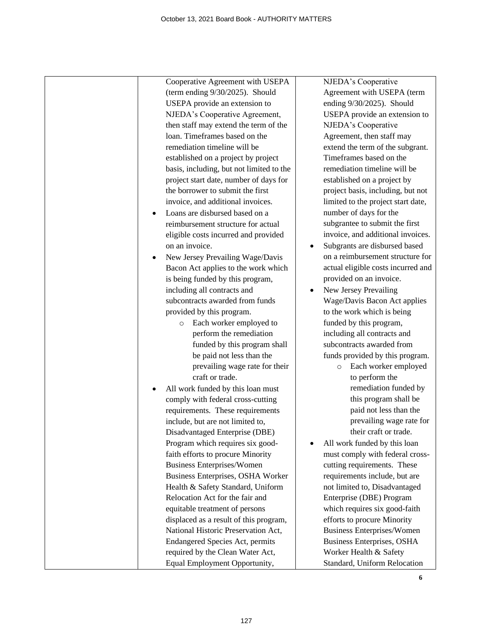| Cooperative Agreement with USEPA         | NJEDA's Cooperative                |
|------------------------------------------|------------------------------------|
|                                          |                                    |
| (term ending 9/30/2025). Should          | Agreement with USEPA (term         |
| USEPA provide an extension to            | ending 9/30/2025). Should          |
| NJEDA's Cooperative Agreement,           | USEPA provide an extension to      |
| then staff may extend the term of the    | NJEDA's Cooperative                |
| loan. Timeframes based on the            | Agreement, then staff may          |
| remediation timeline will be             | extend the term of the subgrant.   |
| established on a project by project      | Timeframes based on the            |
| basis, including, but not limited to the | remediation timeline will be       |
| project start date, number of days for   | established on a project by        |
| the borrower to submit the first         | project basis, including, but not  |
| invoice, and additional invoices.        | limited to the project start date, |
| Loans are disbursed based on a           | number of days for the             |
| reimbursement structure for actual       | subgrantee to submit the first     |
| eligible costs incurred and provided     | invoice, and additional invoices.  |
| on an invoice.                           | Subgrants are disbursed based      |
| New Jersey Prevailing Wage/Davis         | on a reimbursement structure for   |
| Bacon Act applies to the work which      | actual eligible costs incurred and |
| is being funded by this program,         | provided on an invoice.            |
| including all contracts and              | New Jersey Prevailing              |
| subcontracts awarded from funds          | Wage/Davis Bacon Act applies       |
| provided by this program.                | to the work which is being         |
| Each worker employed to<br>$\circ$       | funded by this program,            |
| perform the remediation                  | including all contracts and        |
| funded by this program shall             | subcontracts awarded from          |
| be paid not less than the                | funds provided by this program.    |
| prevailing wage rate for their           | Each worker employed<br>$\circ$    |
| craft or trade.                          | to perform the                     |
| All work funded by this loan must        | remediation funded by              |
| comply with federal cross-cutting        | this program shall be              |
| requirements. These requirements         | paid not less than the             |
| include, but are not limited to,         | prevailing wage rate for           |
| Disadvantaged Enterprise (DBE)           | their craft or trade.              |
| Program which requires six good-         | All work funded by this loan       |
| faith efforts to procure Minority        | must comply with federal cross-    |
| <b>Business Enterprises/Women</b>        | cutting requirements. These        |
| Business Enterprises, OSHA Worker        | requirements include, but are      |
| Health & Safety Standard, Uniform        | not limited to, Disadvantaged      |
| Relocation Act for the fair and          | Enterprise (DBE) Program           |
| equitable treatment of persons           | which requires six good-faith      |
| displaced as a result of this program,   | efforts to procure Minority        |
| National Historic Preservation Act,      | <b>Business Enterprises/Women</b>  |
| <b>Endangered Species Act, permits</b>   | <b>Business Enterprises, OSHA</b>  |
| required by the Clean Water Act,         | Worker Health & Safety             |
|                                          | Standard, Uniform Relocation       |
| Equal Employment Opportunity,            |                                    |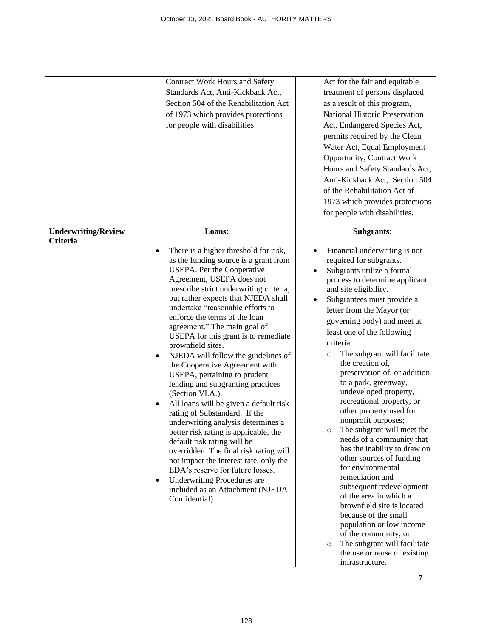|                                        | Contract Work Hours and Safety<br>Standards Act, Anti-Kickback Act,<br>Section 504 of the Rehabilitation Act<br>of 1973 which provides protections<br>for people with disabilities.                                                                                                                                                                                                                                                                                                                                                                                                                                                                                                                                                                                                                                                                                                                                                                                                                                                | Act for the fair and equitable<br>treatment of persons displaced<br>as a result of this program,<br>National Historic Preservation<br>Act, Endangered Species Act,<br>permits required by the Clean<br>Water Act, Equal Employment<br>Opportunity, Contract Work<br>Hours and Safety Standards Act,<br>Anti-Kickback Act, Section 504<br>of the Rehabilitation Act of<br>1973 which provides protections<br>for people with disabilities.                                                                                                                                                                                                                                                                                                                                                                                                                                                                                                                                                |
|----------------------------------------|------------------------------------------------------------------------------------------------------------------------------------------------------------------------------------------------------------------------------------------------------------------------------------------------------------------------------------------------------------------------------------------------------------------------------------------------------------------------------------------------------------------------------------------------------------------------------------------------------------------------------------------------------------------------------------------------------------------------------------------------------------------------------------------------------------------------------------------------------------------------------------------------------------------------------------------------------------------------------------------------------------------------------------|------------------------------------------------------------------------------------------------------------------------------------------------------------------------------------------------------------------------------------------------------------------------------------------------------------------------------------------------------------------------------------------------------------------------------------------------------------------------------------------------------------------------------------------------------------------------------------------------------------------------------------------------------------------------------------------------------------------------------------------------------------------------------------------------------------------------------------------------------------------------------------------------------------------------------------------------------------------------------------------|
| <b>Underwriting/Review</b><br>Criteria | Loans:<br>There is a higher threshold for risk,<br>$\bullet$<br>as the funding source is a grant from<br>USEPA. Per the Cooperative<br>Agreement, USEPA does not<br>prescribe strict underwriting criteria,<br>but rather expects that NJEDA shall<br>undertake "reasonable efforts to<br>enforce the terms of the loan<br>agreement." The main goal of<br>USEPA for this grant is to remediate<br>brownfield sites.<br>NJEDA will follow the guidelines of<br>$\bullet$<br>the Cooperative Agreement with<br>USEPA, pertaining to prudent<br>lending and subgranting practices<br>(Section VI.A.).<br>All loans will be given a default risk<br>٠<br>rating of Substandard. If the<br>underwriting analysis determines a<br>better risk rating is applicable, the<br>default risk rating will be<br>overridden. The final risk rating will<br>not impact the interest rate, only the<br>EDA's reserve for future losses.<br><b>Underwriting Procedures are</b><br>$\bullet$<br>included as an Attachment (NJEDA<br>Confidential). | Subgrants:<br>Financial underwriting is not<br>required for subgrants.<br>Subgrants utilize a formal<br>process to determine applicant<br>and site eligibility.<br>Subgrantees must provide a<br>$\bullet$<br>letter from the Mayor (or<br>governing body) and meet at<br>least one of the following<br>criteria:<br>The subgrant will facilitate<br>$\circ$<br>the creation of,<br>preservation of, or addition<br>to a park, greenway,<br>undeveloped property,<br>recreational property, or<br>other property used for<br>nonprofit purposes;<br>The subgrant will meet the<br>$\circ$<br>needs of a community that<br>has the inability to draw on<br>other sources of funding<br>for environmental<br>remediation and<br>subsequent redevelopment<br>of the area in which a<br>brownfield site is located<br>because of the small<br>population or low income<br>of the community; or<br>The subgrant will facilitate<br>$\circ$<br>the use or reuse of existing<br>infrastructure. |